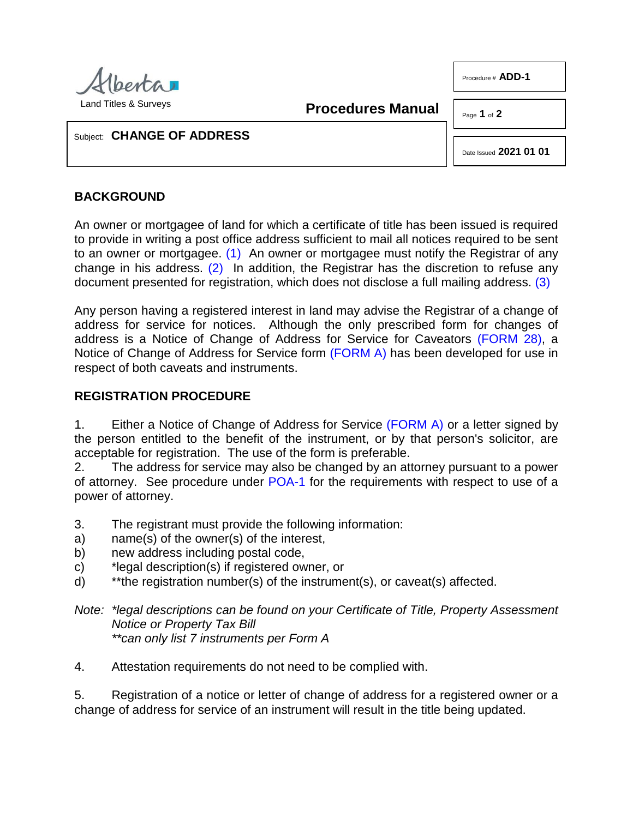

Procedure # **ADD-1**

**Procedures Manual**

Page **1** of **2**

Subject: **CHANGE OF ADDRESS**

<span id="page-0-2"></span>Date Issued **2021 01 01**

## **BACKGROUND**

<span id="page-0-1"></span><span id="page-0-0"></span>An owner or mortgagee of land for which a certificate of title has been issued is required to provide in writing a post office address sufficient to mail all notices required to be sent to an owner or mortgagee. [\(1\)](#page-1-0) An owner or mortgagee must notify the Registrar of any change in his address.  $(2)$  In addition, the Registrar has the discretion to refuse any document presented for registration, which does not disclose a full mailing address. [\(3\)](#page-1-2)

Any person having a registered interest in land may advise the Registrar of a change of address for service for notices. Although the only prescribed form for changes of address is a Notice of Change of Address for Service for Caveators [\(FORM 28\),](http://www.servicealberta.ca/pdf/ltmanual/FORM28.pdf) a Notice of Change of Address for Service form [\(FORM A\)](http://www.servicealberta.ca/pdf/ltmanual/ADD-1-FORMA.pdf) has been developed for use in respect of both caveats and instruments.

## **REGISTRATION PROCEDURE**

1. Either a Notice of Change of Address for Service [\(FORM A\)](http://www.servicealberta.ca/pdf/ltmanual/ADD-1-FORMA.pdf) or a letter signed by the person entitled to the benefit of the instrument, or by that person's solicitor, are acceptable for registration. The use of the form is preferable.

2. The address for service may also be changed by an attorney pursuant to a power of attorney. See procedure under [POA-1](http://www.servicealberta.ca/pdf/ltmanual/POA-1.pdf) for the requirements with respect to use of a power of attorney.

- 3. The registrant must provide the following information:
- a) name(s) of the owner(s) of the interest,
- b) new address including postal code,
- c) \*legal description(s) if registered owner, or
- d) \*\*the registration number(s) of the instrument(s), or caveat(s) affected.
- *Note: \*legal descriptions can be found on your Certificate of Title, Property Assessment Notice or Property Tax Bill \*\*can only list 7 instruments per Form A*
- 4. Attestation requirements do not need to be complied with.

5. Registration of a notice or letter of change of address for a registered owner or a change of address for service of an instrument will result in the title being updated.